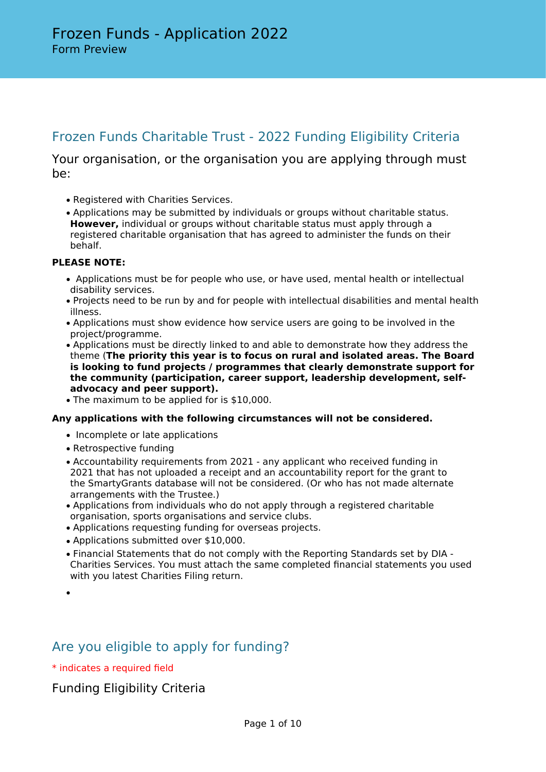## Frozen Funds Charitable Trust - 2022 Funding Eligibility Criteria

### Your organisation, or the organisation you are applying through must be:

- Registered with Charities Services.
- Applications may be submitted by individuals or groups without charitable status. **However,** individual or groups without charitable status must apply through a registered charitable organisation that has agreed to administer the funds on their behalf.

#### **PLEASE NOTE:**

- Applications must be for people who use, or have used, mental health or intellectual disability services.
- Projects need to be run by and for people with intellectual disabilities and mental health illness.
- Applications must show evidence how service users are going to be involved in the project/programme.
- Applications must be directly linked to and able to demonstrate how they address the theme (**The priority this year is to focus on rural and isolated areas. The Board is looking to fund projects / programmes that clearly demonstrate support for the community (participation, career support, leadership development, selfadvocacy and peer support).**
- The maximum to be applied for is \$10,000.

#### **Any applications with the following circumstances will not be considered.**

- Incomplete or late applications
- Retrospective funding
- Accountability requirements from 2021 any applicant who received funding in 2021 that has not uploaded a receipt and an accountability report for the grant to the SmartyGrants database will not be considered. (Or who has not made alternate arrangements with the Trustee.)
- Applications from individuals who do not apply through a registered charitable organisation, sports organisations and service clubs.
- Applications requesting funding for overseas projects.
- Applications submitted over \$10,000.
- Financial Statements that do not comply with the Reporting Standards set by DIA Charities Services. You must attach the same completed financial statements you used with you latest Charities Filing return.

## Are you eligible to apply for funding?

\* indicates a required field

### Funding Eligibility Criteria

<sup>•</sup>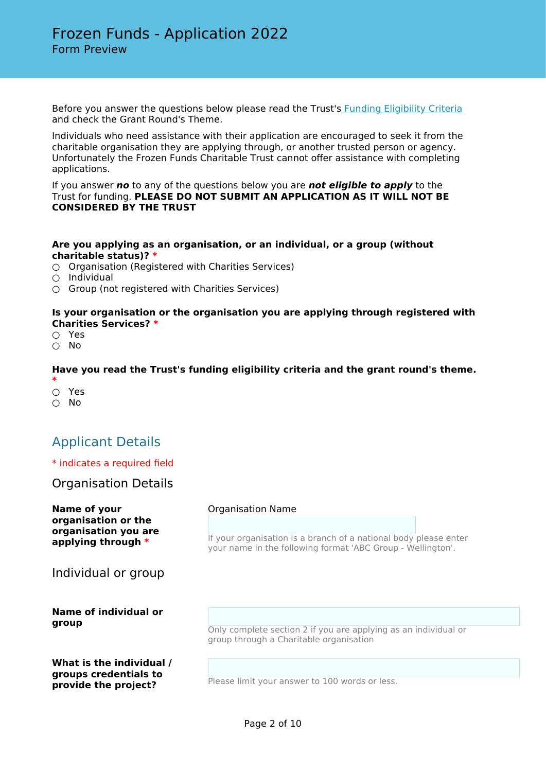Before you answer the questions below please read the Trust'[s Funding Eligibility Criteria](https://www.publictrust.co.nz/grants/how-do-i-find-one/grants/frozen-funds-charitable-trust) and check the Grant Round's Theme.

Individuals who need assistance with their application are encouraged to seek it from the charitable organisation they are applying through, or another trusted person or agency. Unfortunately the Frozen Funds Charitable Trust cannot offer assistance with completing applications.

If you answer *no* to any of the questions below you are *not eligible to apply* to the Trust for funding. **PLEASE DO NOT SUBMIT AN APPLICATION AS IT WILL NOT BE CONSIDERED BY THE TRUST**

#### **Are you applying as an organisation, or an individual, or a group (without charitable status)? \***

- Organisation (Registered with Charities Services)
- Individual
- $\bigcirc$  Group (not registered with Charities Services)

#### **Is your organisation or the organisation you are applying through registered with Charities Services? \***

- Yes
- No

#### **Have you read the Trust's funding eligibility criteria and the grant round's theme.**

- **\*** ○ Yes
- No

## Applicant Details

#### \* indicates a required field

#### Organisation Details

| Name of your<br>organisation or the<br>organisation you are<br>applying through $*$ | <b>Organisation Name</b>                                                                                                        |  |  |
|-------------------------------------------------------------------------------------|---------------------------------------------------------------------------------------------------------------------------------|--|--|
|                                                                                     | If your organisation is a branch of a national body please enter<br>your name in the following format 'ABC Group - Wellington'. |  |  |
| Individual or group                                                                 |                                                                                                                                 |  |  |
| <b>Name of individual or</b>                                                        |                                                                                                                                 |  |  |
| group                                                                               |                                                                                                                                 |  |  |
|                                                                                     | Only complete section 2 if you are applying as an individual or<br>group through a Charitable organisation                      |  |  |
| What is the individual /                                                            |                                                                                                                                 |  |  |
| groups credentials to<br>provide the project?                                       | Please limit your answer to 100 words or less.                                                                                  |  |  |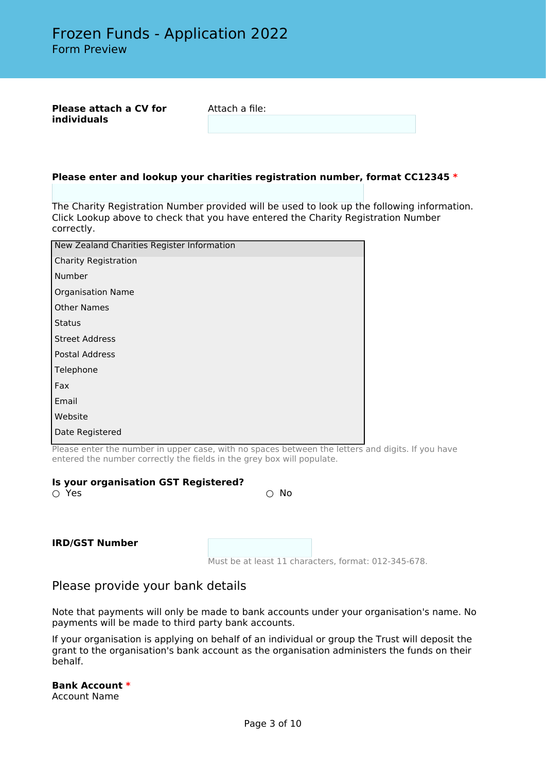**Please attach a CV for individuals**

Attach a file:

#### **Please enter and lookup your charities registration number, format CC12345 \***

The Charity Registration Number provided will be used to look up the following information. Click Lookup above to check that you have entered the Charity Registration Number correctly.

| New Zealand Charities Register Information |  |  |
|--------------------------------------------|--|--|
| <b>Charity Registration</b>                |  |  |
| Number                                     |  |  |
| <b>Organisation Name</b>                   |  |  |
| <b>Other Names</b>                         |  |  |
| <b>Status</b>                              |  |  |
| <b>Street Address</b>                      |  |  |
| Postal Address                             |  |  |
| Telephone                                  |  |  |
| Fax                                        |  |  |
| Email                                      |  |  |
| Website                                    |  |  |
| Date Registered                            |  |  |
|                                            |  |  |

Please enter the number in upper case, with no spaces between the letters and digits. If you have entered the number correctly the fields in the grey box will populate.

#### **Is your organisation GST Registered?**

 $\bigcirc$  Yes  $\bigcirc$  No

#### **IRD/GST Number**

Must be at least 11 characters, format: 012-345-678.

#### Please provide your bank details

Note that payments will only be made to bank accounts under your organisation's name. No payments will be made to third party bank accounts.

If your organisation is applying on behalf of an individual or group the Trust will deposit the grant to the organisation's bank account as the organisation administers the funds on their behalf.

#### **Bank Account \***

Account Name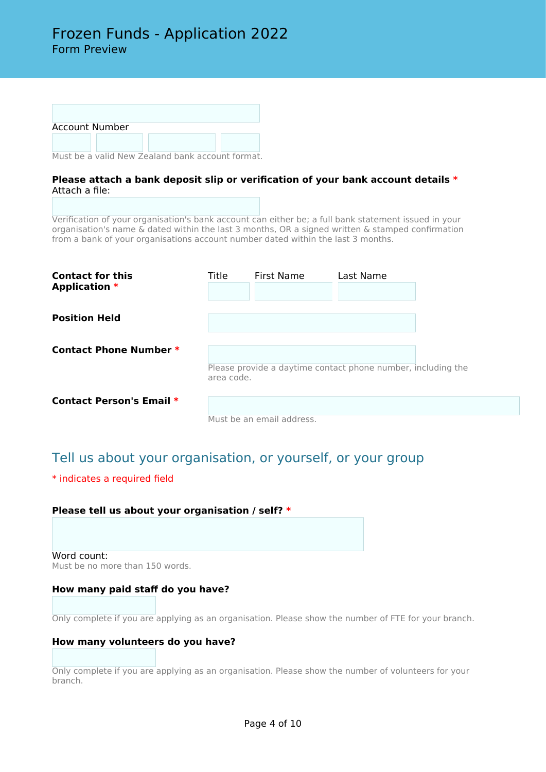| <b>Account Number</b> |  |  |
|-----------------------|--|--|
|                       |  |  |

Must be a valid New Zealand bank account format.

#### **Please attach a bank deposit slip or verification of your bank account details \*** Attach a file:

Verification of your organisation's bank account can either be; a full bank statement issued in your organisation's name & dated within the last 3 months, OR a signed written & stamped confirmation from a bank of your organisations account number dated within the last 3 months.

| <b>Contact for this</b><br><b>Application *</b> | Title      | First Name                                                   | Last Name |  |
|-------------------------------------------------|------------|--------------------------------------------------------------|-----------|--|
| <b>Position Held</b>                            |            |                                                              |           |  |
| <b>Contact Phone Number *</b>                   | area code. | Please provide a daytime contact phone number, including the |           |  |
| <b>Contact Person's Email *</b>                 |            | Must be an email address.                                    |           |  |

# Tell us about your organisation, or yourself, or your group

#### \* indicates a required field

**Please tell us about your organisation / self? \***

Word count: Must be no more than 150 words.

#### **How many paid staff do you have?**

Only complete if you are applying as an organisation. Please show the number of FTE for your branch.

#### **How many volunteers do you have?**

Only complete if you are applying as an organisation. Please show the number of volunteers for your branch.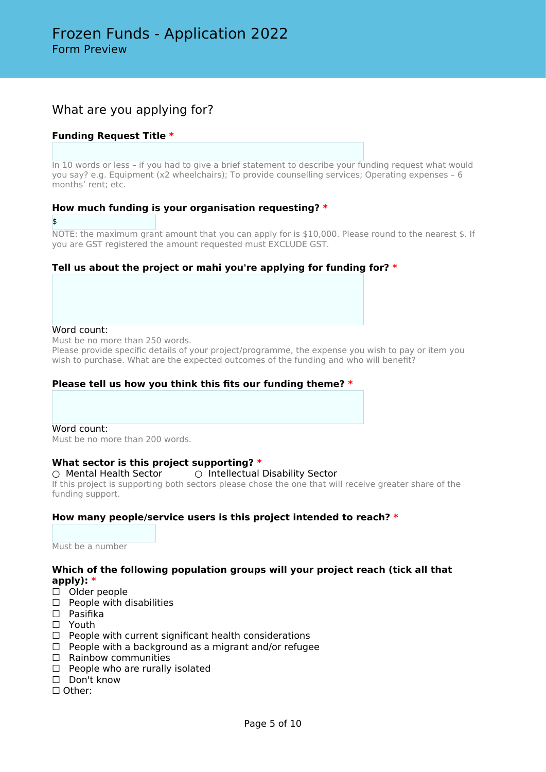### What are you applying for?

#### **Funding Request Title \***

In 10 words or less – if you had to give a brief statement to describe your funding request what would you say? e.g. Equipment (x2 wheelchairs); To provide counselling services; Operating expenses – 6 months' rent; etc.

#### **How much funding is your organisation requesting? \***

\$

NOTE: the maximum grant amount that you can apply for is \$10,000. Please round to the nearest \$. If you are GST registered the amount requested must EXCLUDE GST.

#### **Tell us about the project or mahi you're applying for funding for? \***

#### Word count:

Must be no more than 250 words.

Please provide specific details of your project/programme, the expense you wish to pay or item you wish to purchase. What are the expected outcomes of the funding and who will benefit?

#### **Please tell us how you think this fits our funding theme? \***

Word count: Must be no more than 200 words.

#### **What sector is this project supporting? \***

#### ○ Mental Health Sector ○ Intellectual Disability Sector

If this project is supporting both sectors please chose the one that will receive greater share of the funding support.

#### **How many people/service users is this project intended to reach? \***

Must be a number

#### **Which of the following population groups will your project reach (tick all that apply): \***

- □ Older people
- $\Box$  People with disabilities
- □ Pasifika
- ☐ Youth
- ☐ People with current significant health considerations
- □ People with a background as a migrant and/or refugee
- $<sub>□</sub>$  Rainbow communities</sub>
- □ People who are rurally isolated
- □ Don't know
- ☐ Other: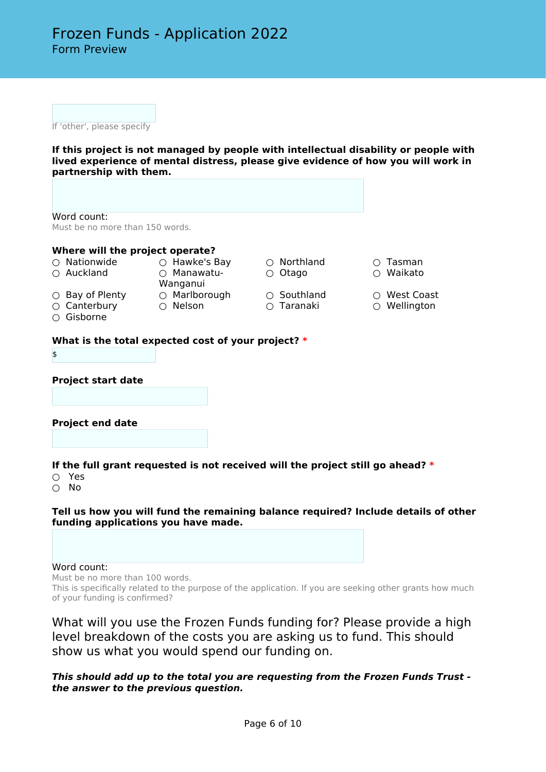If 'other', please specify

**If this project is not managed by people with intellectual disability or people with lived experience of mental distress, please give evidence of how you will work in partnership with them.**

Word count: Must be no more than 150 words.

#### **Where will the project operate?**

○ Nationwide ○ Hawke's Bay ○ Northland ○ Tasman

- 
- Auckland ○ Manawatu-Wanganui
- 
- 
- Gisborne
- Bay of Plenty Marlborough Southland West Coast ○ Canterbury ○ Nelson ○ Taranaki ○ Wellington
- Otago Waikato
	-
- 
- 
- 

#### **What is the total expected cost of your project? \***

\$

**Project start date**

#### **Project end date**

**If the full grant requested is not received will the project still go ahead? \***

- Yes
- No

**Tell us how you will fund the remaining balance required? Include details of other funding applications you have made.**

#### Word count:

Must be no more than 100 words.

This is specifically related to the purpose of the application. If you are seeking other grants how much of your funding is confirmed?

What will you use the Frozen Funds funding for? Please provide a high level breakdown of the costs you are asking us to fund. This should show us what you would spend our funding on.

*This should add up to the total you are requesting from the Frozen Funds Trust the answer to the previous question.*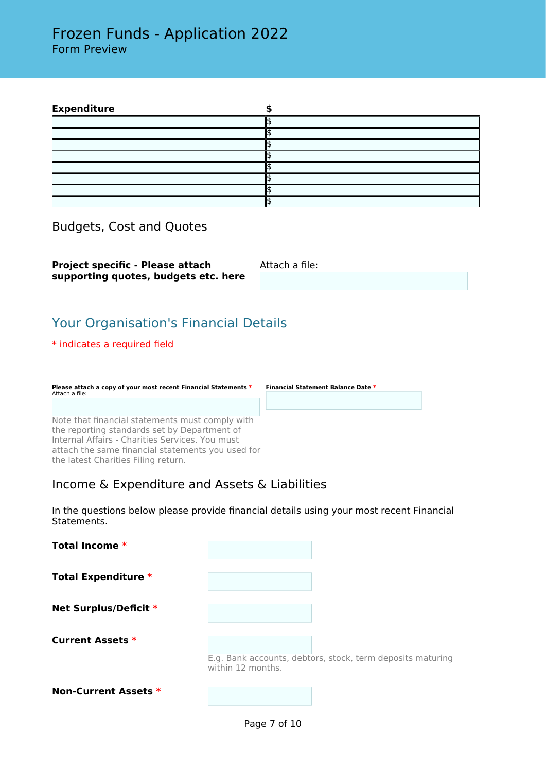| <b>Expenditure</b> |  |
|--------------------|--|
|                    |  |
|                    |  |
|                    |  |
|                    |  |
|                    |  |
|                    |  |
|                    |  |
|                    |  |

Budgets, Cost and Quotes

**Project specific - Please attach supporting quotes, budgets etc. here** Attach a file:

## Your Organisation's Financial Details

#### \* indicates a required field

| Please attach a copy of your most recent Financial Statements * | <b>Financial Statement Balance Date *</b> |  |  |
|-----------------------------------------------------------------|-------------------------------------------|--|--|
| Attach a file:                                                  |                                           |  |  |
|                                                                 |                                           |  |  |
|                                                                 |                                           |  |  |
|                                                                 |                                           |  |  |

Note that financial statements must comply with the reporting standards set by Department of Internal Affairs - Charities Services. You must attach the same financial statements you used for the latest Charities Filing return.

### Income & Expenditure and Assets & Liabilities

In the questions below please provide financial details using your most recent Financial Statements.

| Total Income *              |                   |                                                            |
|-----------------------------|-------------------|------------------------------------------------------------|
| <b>Total Expenditure *</b>  |                   |                                                            |
| Net Surplus/Deficit *       |                   |                                                            |
| <b>Current Assets *</b>     | within 12 months. | E.g. Bank accounts, debtors, stock, term deposits maturing |
| <b>Non-Current Assets *</b> |                   |                                                            |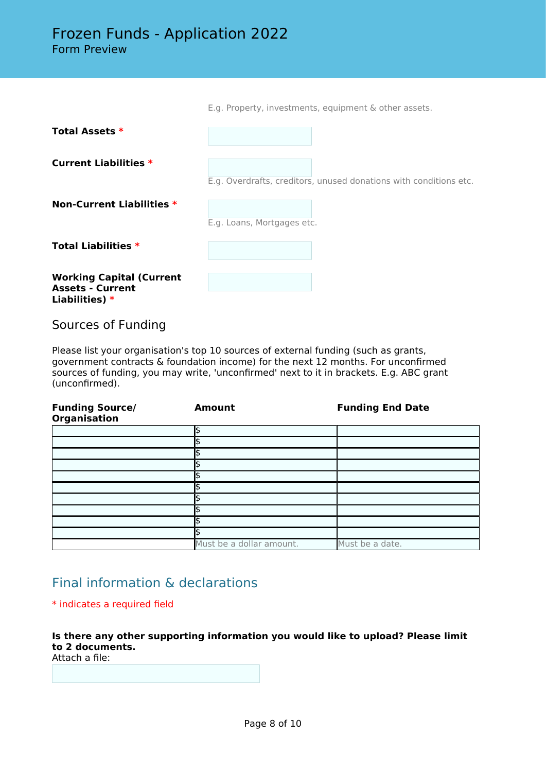|                                                                              | E.g. Property, investments, equipment & other assets.             |
|------------------------------------------------------------------------------|-------------------------------------------------------------------|
| <b>Total Assets *</b>                                                        |                                                                   |
| <b>Current Liabilities *</b>                                                 | E.g. Overdrafts, creditors, unused donations with conditions etc. |
| <b>Non-Current Liabilities *</b>                                             | E.g. Loans, Mortgages etc.                                        |
| <b>Total Liabilities *</b>                                                   |                                                                   |
| <b>Working Capital (Current</b><br><b>Assets - Current</b><br>Liabilities) * |                                                                   |

Sources of Funding

Please list your organisation's top 10 sources of external funding (such as grants, government contracts & foundation income) for the next 12 months. For unconfirmed sources of funding, you may write, 'unconfirmed' next to it in brackets. E.g. ABC grant (unconfirmed).

| <b>Funding Source/</b><br><b>Organisation</b> | <b>Amount</b>            | <b>Funding End Date</b> |
|-----------------------------------------------|--------------------------|-------------------------|
|                                               | \$                       |                         |
|                                               | đ                        |                         |
|                                               |                          |                         |
|                                               |                          |                         |
|                                               |                          |                         |
|                                               |                          |                         |
|                                               |                          |                         |
|                                               |                          |                         |
|                                               |                          |                         |
|                                               |                          |                         |
|                                               | Must be a dollar amount. | Must be a date.         |

## Final information & declarations

#### \* indicates a required field

**Is there any other supporting information you would like to upload? Please limit to 2 documents.**

Attach a file: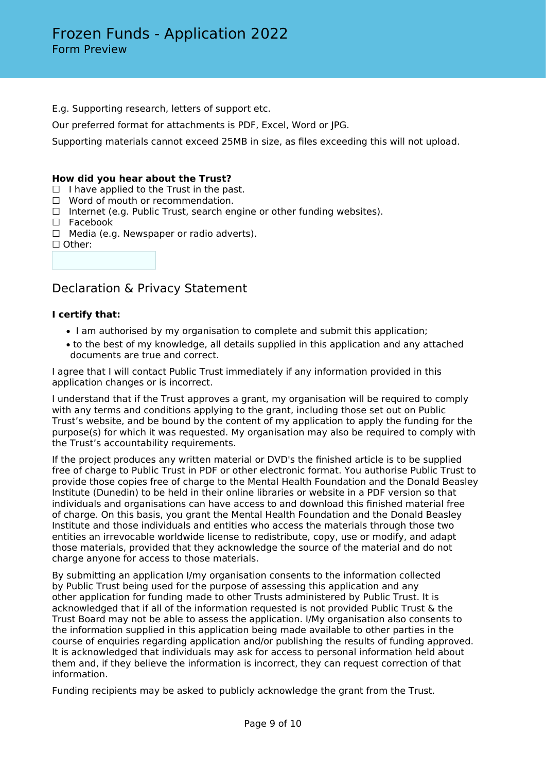E.g. Supporting research, letters of support etc.

Our preferred format for attachments is PDF, Excel, Word or JPG.

Supporting materials cannot exceed 25MB in size, as files exceeding this will not upload.

#### **How did you hear about the Trust?**

- $\Box$  I have applied to the Trust in the past.
- ☐ Word of mouth or recommendation.
- □ Internet (e.g. Public Trust, search engine or other funding websites).
- ☐ Facebook
- $\Box$  Media (e.g. Newspaper or radio adverts).
- ☐ Other:

### Declaration & Privacy Statement

#### **I certify that:**

- I am authorised by my organisation to complete and submit this application;
- to the best of my knowledge, all details supplied in this application and any attached documents are true and correct.

I agree that I will contact Public Trust immediately if any information provided in this application changes or is incorrect.

I understand that if the Trust approves a grant, my organisation will be required to comply with any terms and conditions applying to the grant, including those set out on Public Trust's website, and be bound by the content of my application to apply the funding for the purpose(s) for which it was requested. My organisation may also be required to comply with the Trust's accountability requirements.

If the project produces any written material or DVD's the finished article is to be supplied free of charge to Public Trust in PDF or other electronic format. You authorise Public Trust to provide those copies free of charge to the Mental Health Foundation and the Donald Beasley Institute (Dunedin) to be held in their online libraries or website in a PDF version so that individuals and organisations can have access to and download this finished material free of charge. On this basis, you grant the Mental Health Foundation and the Donald Beasley Institute and those individuals and entities who access the materials through those two entities an irrevocable worldwide license to redistribute, copy, use or modify, and adapt those materials, provided that they acknowledge the source of the material and do not charge anyone for access to those materials.

By submitting an application I/my organisation consents to the information collected by Public Trust being used for the purpose of assessing this application and any other application for funding made to other Trusts administered by Public Trust. It is acknowledged that if all of the information requested is not provided Public Trust & the Trust Board may not be able to assess the application. I/My organisation also consents to the information supplied in this application being made available to other parties in the course of enquiries regarding application and/or publishing the results of funding approved. It is acknowledged that individuals may ask for access to personal information held about them and, if they believe the information is incorrect, they can request correction of that information.

Funding recipients may be asked to publicly acknowledge the grant from the Trust.